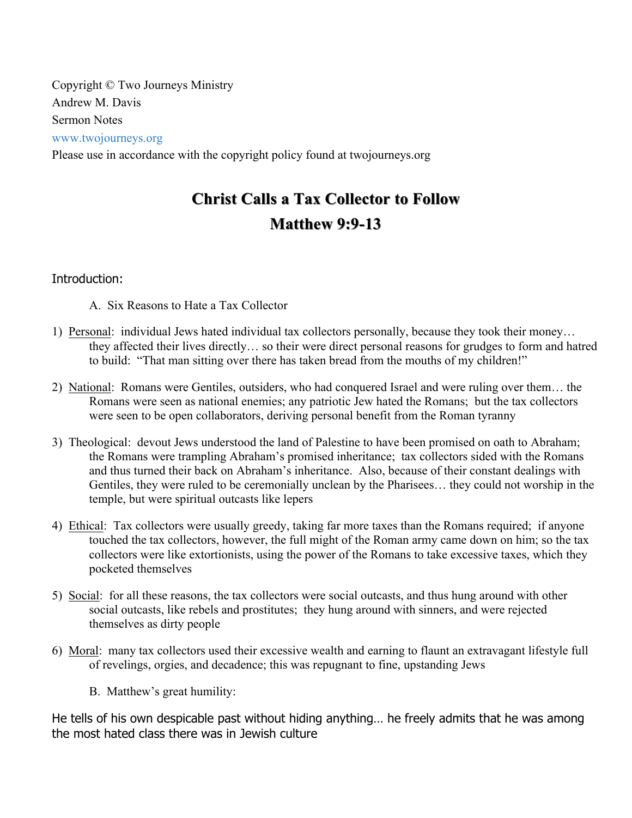Copyright © Two Journeys Ministry Andrew M. Davis Sermon Notes www.twojourneys.org

Please use in accordance with the copyright policy found at twojourneys.org

# **Christ Calls a Tax Collector to Follow Christ Calls a Tax Collector to Follow Matthew 9:9 Matthew 9:9-13**

#### Introduction:

- A. Six Reasons to Hate a Tax Collector
- 1) Personal: individual Jews hated individual tax collectors personally, because they took their money… they affected their lives directly… so their were direct personal reasons for grudges to form and hatred to build: "That man sitting over there has taken bread from the mouths of my children!"
- 2) National: Romans were Gentiles, outsiders, who had conquered Israel and were ruling over them… the Romans were seen as national enemies; any patriotic Jew hated the Romans; but the tax collectors were seen to be open collaborators, deriving personal benefit from the Roman tyranny
- 3) Theological: devout Jews understood the land of Palestine to have been promised on oath to Abraham; the Romans were trampling Abraham's promised inheritance; tax collectors sided with the Romans and thus turned their back on Abraham's inheritance. Also, because of their constant dealings with Gentiles, they were ruled to be ceremonially unclean by the Pharisees… they could not worship in the temple, but were spiritual outcasts like lepers
- 4) Ethical: Tax collectors were usually greedy, taking far more taxes than the Romans required; if anyone touched the tax collectors, however, the full might of the Roman army came down on him; so the tax collectors were like extortionists, using the power of the Romans to take excessive taxes, which they pocketed themselves
- 5) Social: for all these reasons, the tax collectors were social outcasts, and thus hung around with other social outcasts, like rebels and prostitutes; they hung around with sinners, and were rejected themselves as dirty people
- 6) Moral: many tax collectors used their excessive wealth and earning to flaunt an extravagant lifestyle full of revelings, orgies, and decadence; this was repugnant to fine, upstanding Jews
	- B. Matthew's great humility:

He tells of his own despicable past without hiding anything… he freely admits that he was among the most hated class there was in Jewish culture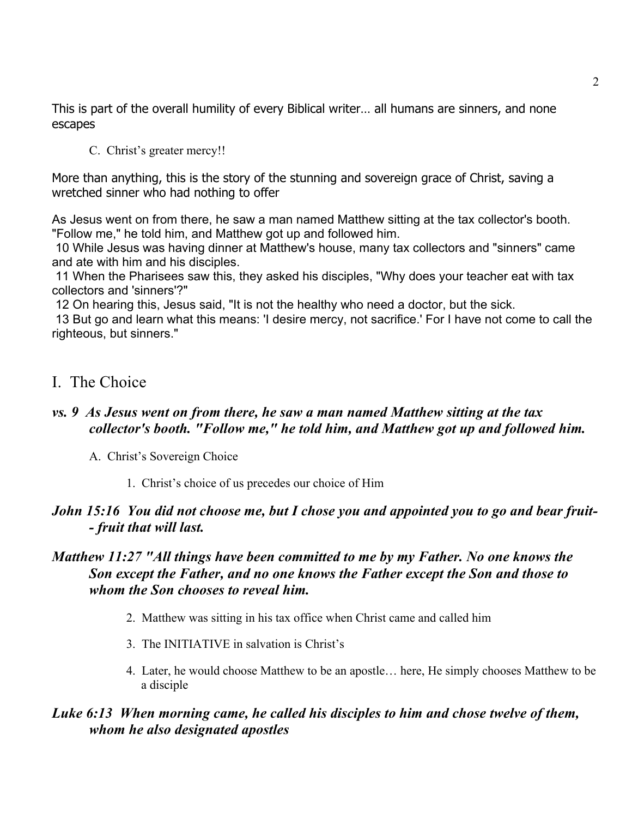This is part of the overall humility of every Biblical writer… all humans are sinners, and none escapes

C. Christ's greater mercy!!

More than anything, this is the story of the stunning and sovereign grace of Christ, saving a wretched sinner who had nothing to offer

As Jesus went on from there, he saw a man named Matthew sitting at the tax collector's booth. "Follow me," he told him, and Matthew got up and followed him.

10 While Jesus was having dinner at Matthew's house, many tax collectors and "sinners" came and ate with him and his disciples.

11 When the Pharisees saw this, they asked his disciples, "Why does your teacher eat with tax collectors and 'sinners'?"

12 On hearing this, Jesus said, "It is not the healthy who need a doctor, but the sick.

13 But go and learn what this means: 'I desire mercy, not sacrifice.' For I have not come to call the righteous, but sinners."

I. The Choice

#### *vs. 9 As Jesus went on from there, he saw a man named Matthew sitting at the tax collector's booth. "Follow me," he told him, and Matthew got up and followed him.*

A. Christ's Sovereign Choice

1. Christ's choice of us precedes our choice of Him

#### *John 15:16 You did not choose me, but I chose you and appointed you to go and bear fruit- - fruit that will last.*

# *Matthew 11:27 "All things have been committed to me by my Father. No one knows the Son except the Father, and no one knows the Father except the Son and those to whom the Son chooses to reveal him.*

- 2. Matthew was sitting in his tax office when Christ came and called him
- 3. The INITIATIVE in salvation is Christ's
- 4. Later, he would choose Matthew to be an apostle… here, He simply chooses Matthew to be a disciple

### *Luke 6:13 When morning came, he called his disciples to him and chose twelve of them, whom he also designated apostles*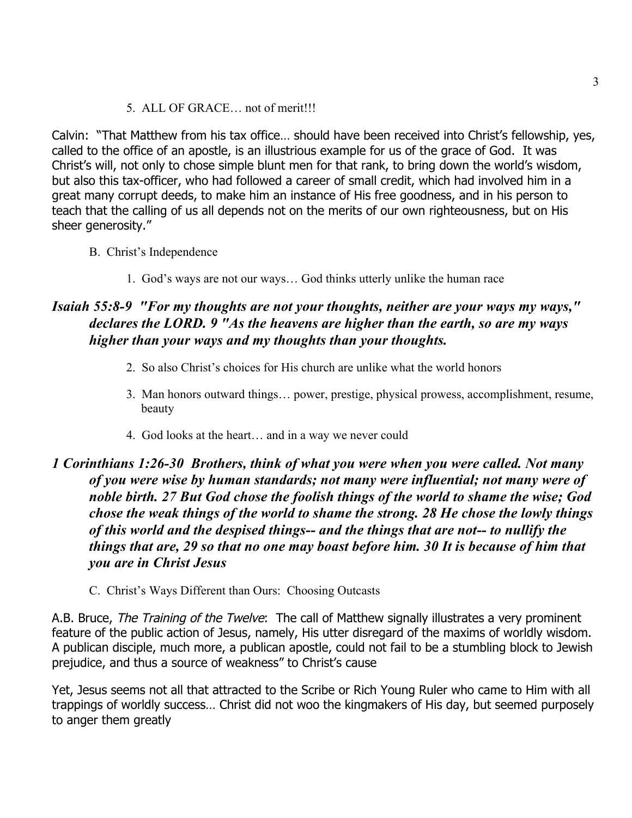#### 5. ALL OF GRACE… not of merit!!!

Calvin: "That Matthew from his tax office… should have been received into Christ's fellowship, yes, called to the office of an apostle, is an illustrious example for us of the grace of God. It was Christ's will, not only to chose simple blunt men for that rank, to bring down the world's wisdom, but also this tax-officer, who had followed a career of small credit, which had involved him in a great many corrupt deeds, to make him an instance of His free goodness, and in his person to teach that the calling of us all depends not on the merits of our own righteousness, but on His sheer generosity."

- B. Christ's Independence
	- 1. God's ways are not our ways… God thinks utterly unlike the human race

## *Isaiah 55:8-9 "For my thoughts are not your thoughts, neither are your ways my ways," declares the LORD. 9 "As the heavens are higher than the earth, so are my ways higher than your ways and my thoughts than your thoughts.*

- 2. So also Christ's choices for His church are unlike what the world honors
- 3. Man honors outward things… power, prestige, physical prowess, accomplishment, resume, beauty
- 4. God looks at the heart… and in a way we never could

# *1 Corinthians 1:26-30 Brothers, think of what you were when you were called. Not many of you were wise by human standards; not many were influential; not many were of noble birth. 27 But God chose the foolish things of the world to shame the wise; God chose the weak things of the world to shame the strong. 28 He chose the lowly things of this world and the despised things-- and the things that are not-- to nullify the things that are, 29 so that no one may boast before him. 30 It is because of him that you are in Christ Jesus*

C. Christ's Ways Different than Ours: Choosing Outcasts

A.B. Bruce, The Training of the Twelve: The call of Matthew signally illustrates a very prominent feature of the public action of Jesus, namely, His utter disregard of the maxims of worldly wisdom. A publican disciple, much more, a publican apostle, could not fail to be a stumbling block to Jewish prejudice, and thus a source of weakness" to Christ's cause

Yet, Jesus seems not all that attracted to the Scribe or Rich Young Ruler who came to Him with all trappings of worldly success… Christ did not woo the kingmakers of His day, but seemed purposely to anger them greatly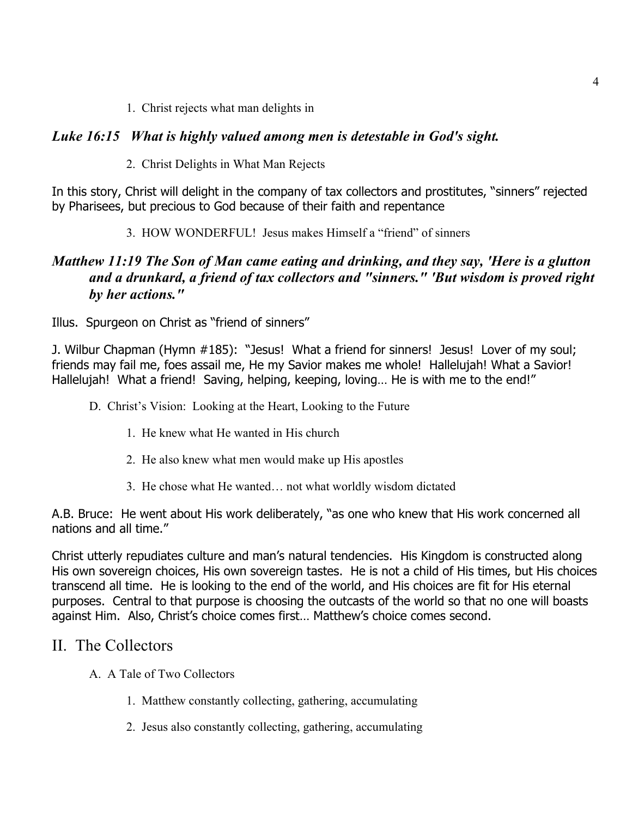1. Christ rejects what man delights in

#### *Luke 16:15 What is highly valued among men is detestable in God's sight.*

#### 2. Christ Delights in What Man Rejects

In this story, Christ will delight in the company of tax collectors and prostitutes, "sinners" rejected by Pharisees, but precious to God because of their faith and repentance

3. HOW WONDERFUL! Jesus makes Himself a "friend" of sinners

### *Matthew 11:19 The Son of Man came eating and drinking, and they say, 'Here is a glutton and a drunkard, a friend of tax collectors and "sinners." 'But wisdom is proved right by her actions."*

Illus. Spurgeon on Christ as "friend of sinners"

J. Wilbur Chapman (Hymn #185): "Jesus! What a friend for sinners! Jesus! Lover of my soul; friends may fail me, foes assail me, He my Savior makes me whole! Hallelujah! What a Savior! Hallelujah! What a friend! Saving, helping, keeping, loving... He is with me to the end!"

- D. Christ's Vision: Looking at the Heart, Looking to the Future
	- 1. He knew what He wanted in His church
	- 2. He also knew what men would make up His apostles
	- 3. He chose what He wanted… not what worldly wisdom dictated

A.B. Bruce: He went about His work deliberately, "as one who knew that His work concerned all nations and all time."

Christ utterly repudiates culture and man's natural tendencies. His Kingdom is constructed along His own sovereign choices, His own sovereign tastes. He is not a child of His times, but His choices transcend all time. He is looking to the end of the world, and His choices are fit for His eternal purposes. Central to that purpose is choosing the outcasts of the world so that no one will boasts against Him. Also, Christ's choice comes first… Matthew's choice comes second.

# II. The Collectors

- A. A Tale of Two Collectors
	- 1. Matthew constantly collecting, gathering, accumulating
	- 2. Jesus also constantly collecting, gathering, accumulating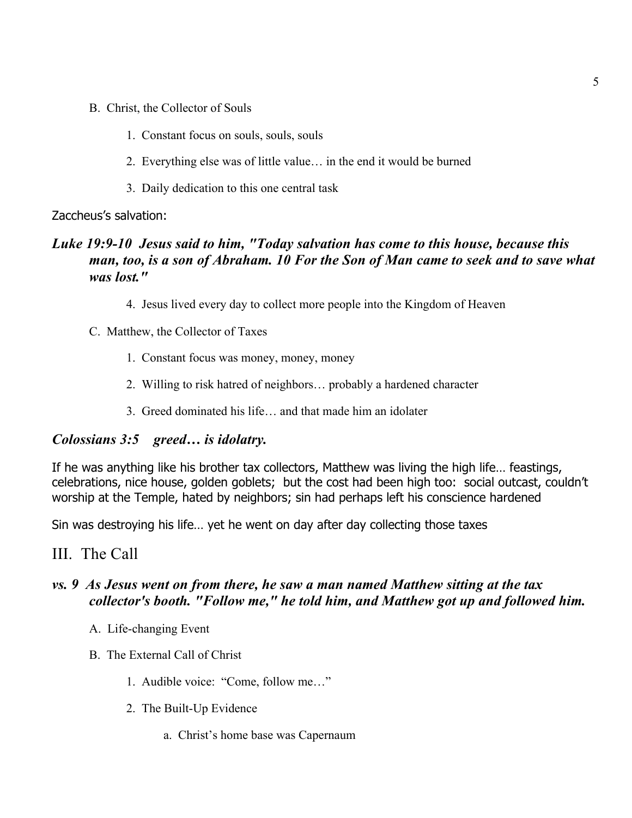- B. Christ, the Collector of Souls
	- 1. Constant focus on souls, souls, souls
	- 2. Everything else was of little value… in the end it would be burned
	- 3. Daily dedication to this one central task

#### Zaccheus's salvation:

#### *Luke 19:9-10 Jesus said to him, "Today salvation has come to this house, because this man, too, is a son of Abraham. 10 For the Son of Man came to seek and to save what was lost."*

- 4. Jesus lived every day to collect more people into the Kingdom of Heaven
- C. Matthew, the Collector of Taxes
	- 1. Constant focus was money, money, money
	- 2. Willing to risk hatred of neighbors… probably a hardened character
	- 3. Greed dominated his life… and that made him an idolater

#### *Colossians 3:5 greed… is idolatry.*

If he was anything like his brother tax collectors, Matthew was living the high life… feastings, celebrations, nice house, golden goblets; but the cost had been high too: social outcast, couldn't worship at the Temple, hated by neighbors; sin had perhaps left his conscience hardened

Sin was destroying his life… yet he went on day after day collecting those taxes

#### III. The Call

#### *vs. 9 As Jesus went on from there, he saw a man named Matthew sitting at the tax collector's booth. "Follow me," he told him, and Matthew got up and followed him.*

- A. Life-changing Event
- B. The External Call of Christ
	- 1. Audible voice: "Come, follow me…"
	- 2. The Built-Up Evidence
		- a. Christ's home base was Capernaum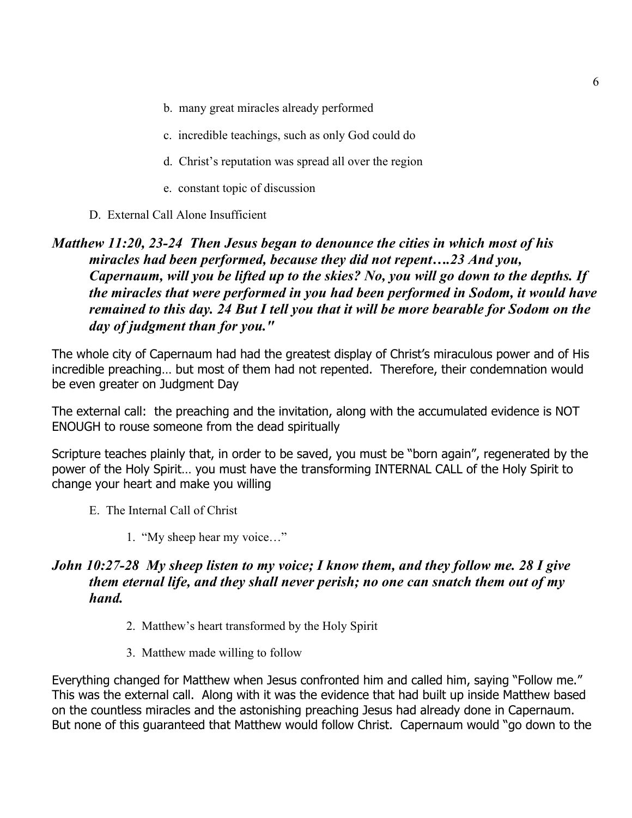- b. many great miracles already performed
- c. incredible teachings, such as only God could do
- d. Christ's reputation was spread all over the region
- e. constant topic of discussion
- D. External Call Alone Insufficient

## *Matthew 11:20, 23-24 Then Jesus began to denounce the cities in which most of his miracles had been performed, because they did not repent….23 And you, Capernaum, will you be lifted up to the skies? No, you will go down to the depths. If the miracles that were performed in you had been performed in Sodom, it would have remained to this day. 24 But I tell you that it will be more bearable for Sodom on the day of judgment than for you."*

The whole city of Capernaum had had the greatest display of Christ's miraculous power and of His incredible preaching… but most of them had not repented. Therefore, their condemnation would be even greater on Judgment Day

The external call: the preaching and the invitation, along with the accumulated evidence is NOT ENOUGH to rouse someone from the dead spiritually

Scripture teaches plainly that, in order to be saved, you must be "born again", regenerated by the power of the Holy Spirit… you must have the transforming INTERNAL CALL of the Holy Spirit to change your heart and make you willing

- E. The Internal Call of Christ
	- 1. "My sheep hear my voice…"

## *John 10:27-28 My sheep listen to my voice; I know them, and they follow me. 28 I give them eternal life, and they shall never perish; no one can snatch them out of my hand.*

- 2. Matthew's heart transformed by the Holy Spirit
- 3. Matthew made willing to follow

Everything changed for Matthew when Jesus confronted him and called him, saying "Follow me." This was the external call. Along with it was the evidence that had built up inside Matthew based on the countless miracles and the astonishing preaching Jesus had already done in Capernaum. But none of this guaranteed that Matthew would follow Christ. Capernaum would "go down to the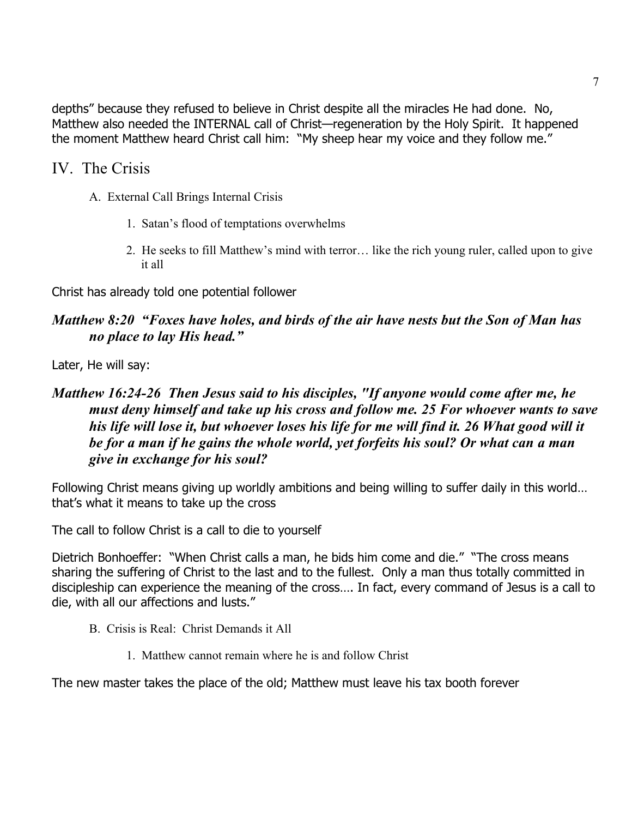depths" because they refused to believe in Christ despite all the miracles He had done. No, Matthew also needed the INTERNAL call of Christ—regeneration by the Holy Spirit. It happened the moment Matthew heard Christ call him: "My sheep hear my voice and they follow me."

# IV. The Crisis

- A. External Call Brings Internal Crisis
	- 1. Satan's flood of temptations overwhelms
	- 2. He seeks to fill Matthew's mind with terror… like the rich young ruler, called upon to give it all

Christ has already told one potential follower

### *Matthew 8:20 "Foxes have holes, and birds of the air have nests but the Son of Man has no place to lay His head."*

Later, He will say:

### *Matthew 16:24-26 Then Jesus said to his disciples, "If anyone would come after me, he must deny himself and take up his cross and follow me. 25 For whoever wants to save his life will lose it, but whoever loses his life for me will find it. 26 What good will it be for a man if he gains the whole world, yet forfeits his soul? Or what can a man give in exchange for his soul?*

Following Christ means giving up worldly ambitions and being willing to suffer daily in this world… that's what it means to take up the cross

The call to follow Christ is a call to die to yourself

Dietrich Bonhoeffer: "When Christ calls a man, he bids him come and die." "The cross means sharing the suffering of Christ to the last and to the fullest. Only a man thus totally committed in discipleship can experience the meaning of the cross…. In fact, every command of Jesus is a call to die, with all our affections and lusts."

- B. Crisis is Real: Christ Demands it All
	- 1. Matthew cannot remain where he is and follow Christ

The new master takes the place of the old; Matthew must leave his tax booth forever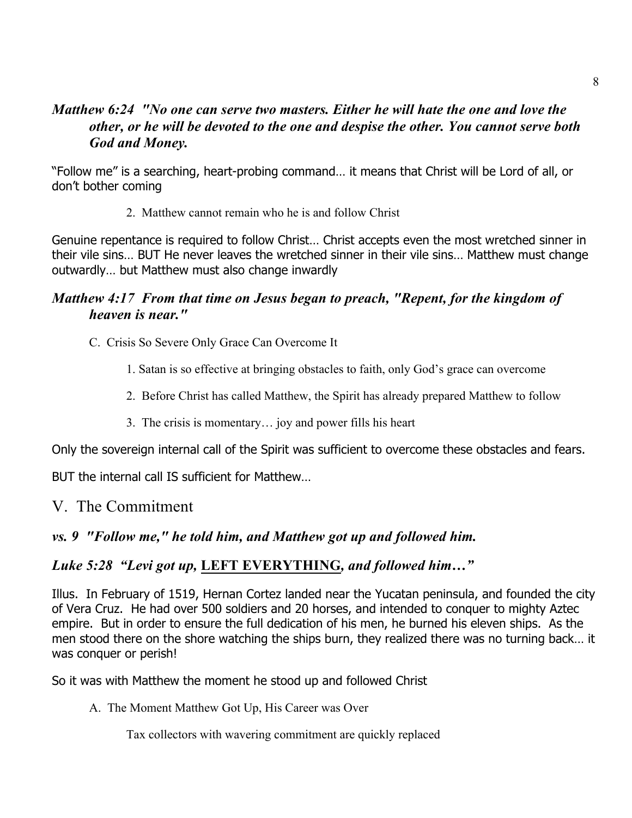#### *Matthew 6:24 "No one can serve two masters. Either he will hate the one and love the other, or he will be devoted to the one and despise the other. You cannot serve both God and Money.*

"Follow me" is a searching, heart-probing command… it means that Christ will be Lord of all, or don't bother coming

2. Matthew cannot remain who he is and follow Christ

Genuine repentance is required to follow Christ… Christ accepts even the most wretched sinner in their vile sins… BUT He never leaves the wretched sinner in their vile sins… Matthew must change outwardly… but Matthew must also change inwardly

### *Matthew 4:17 From that time on Jesus began to preach, "Repent, for the kingdom of heaven is near."*

- C. Crisis So Severe Only Grace Can Overcome It
	- 1. Satan is so effective at bringing obstacles to faith, only God's grace can overcome
	- 2. Before Christ has called Matthew, the Spirit has already prepared Matthew to follow
	- 3. The crisis is momentary… joy and power fills his heart

Only the sovereign internal call of the Spirit was sufficient to overcome these obstacles and fears.

BUT the internal call IS sufficient for Matthew…

# V. The Commitment

# *vs. 9 "Follow me," he told him, and Matthew got up and followed him.*

# *Luke 5:28 "Levi got up,* **LEFT EVERYTHING***, and followed him…"*

Illus. In February of 1519, Hernan Cortez landed near the Yucatan peninsula, and founded the city of Vera Cruz. He had over 500 soldiers and 20 horses, and intended to conquer to mighty Aztec empire. But in order to ensure the full dedication of his men, he burned his eleven ships. As the men stood there on the shore watching the ships burn, they realized there was no turning back… it was conquer or perish!

So it was with Matthew the moment he stood up and followed Christ

A. The Moment Matthew Got Up, His Career was Over

Tax collectors with wavering commitment are quickly replaced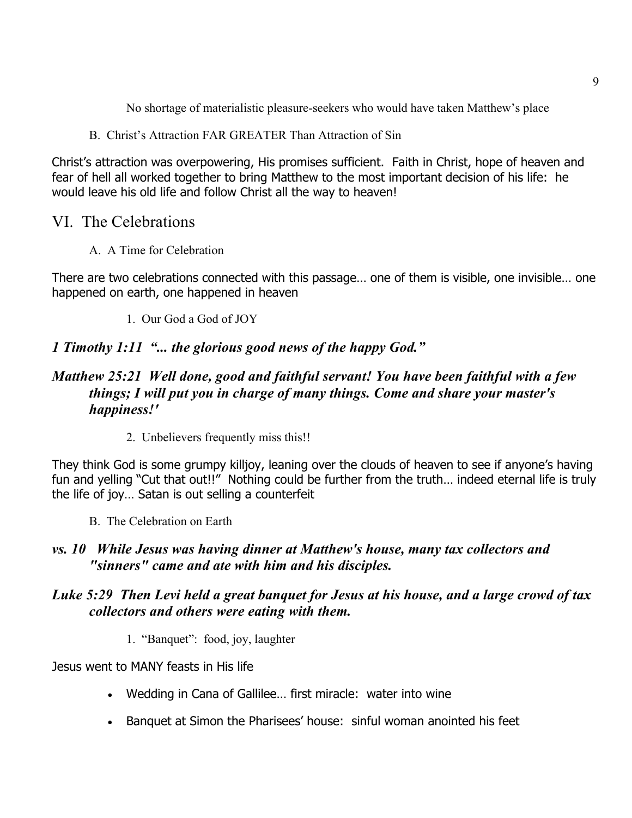No shortage of materialistic pleasure-seekers who would have taken Matthew's place

#### B. Christ's Attraction FAR GREATER Than Attraction of Sin

Christ's attraction was overpowering, His promises sufficient. Faith in Christ, hope of heaven and fear of hell all worked together to bring Matthew to the most important decision of his life: he would leave his old life and follow Christ all the way to heaven!

# VI. The Celebrations

A. A Time for Celebration

There are two celebrations connected with this passage… one of them is visible, one invisible… one happened on earth, one happened in heaven

1. Our God a God of JOY

# *1 Timothy 1:11 "... the glorious good news of the happy God."*

# *Matthew 25:21 Well done, good and faithful servant! You have been faithful with a few things; I will put you in charge of many things. Come and share your master's happiness!'*

2. Unbelievers frequently miss this!!

They think God is some grumpy killjoy, leaning over the clouds of heaven to see if anyone's having fun and yelling "Cut that out!!" Nothing could be further from the truth... indeed eternal life is truly the life of joy… Satan is out selling a counterfeit

B. The Celebration on Earth

### *vs. 10 While Jesus was having dinner at Matthew's house, many tax collectors and "sinners" came and ate with him and his disciples.*

### *Luke 5:29 Then Levi held a great banquet for Jesus at his house, and a large crowd of tax collectors and others were eating with them.*

1. "Banquet": food, joy, laughter

Jesus went to MANY feasts in His life

- Wedding in Cana of Gallilee… first miracle: water into wine
- Banquet at Simon the Pharisees' house: sinful woman anointed his feet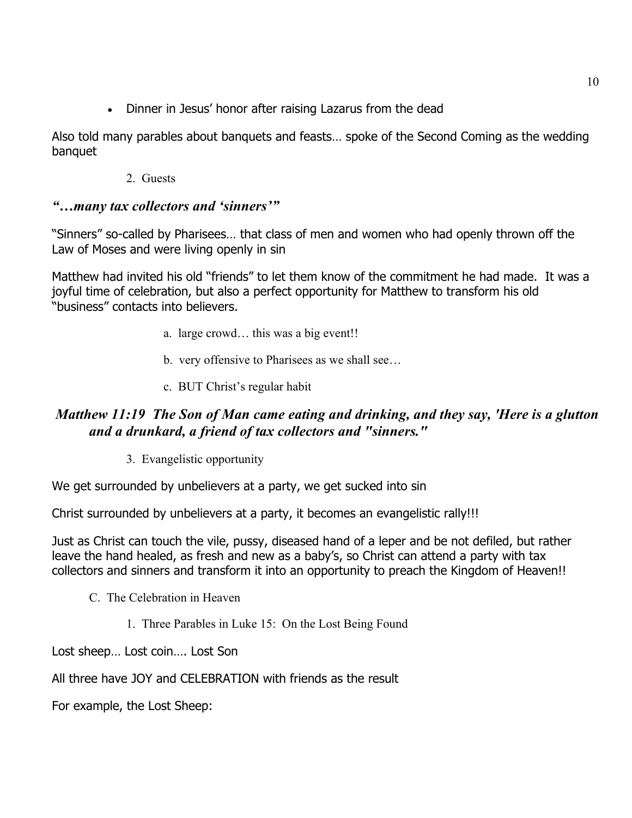• Dinner in Jesus' honor after raising Lazarus from the dead

Also told many parables about banquets and feasts… spoke of the Second Coming as the wedding banquet

2. Guests

#### *"…many tax collectors and 'sinners'"*

"Sinners" so-called by Pharisees… that class of men and women who had openly thrown off the Law of Moses and were living openly in sin

Matthew had invited his old "friends" to let them know of the commitment he had made. It was a joyful time of celebration, but also a perfect opportunity for Matthew to transform his old "business" contacts into believers.

- a. large crowd… this was a big event!!
- b. very offensive to Pharisees as we shall see…
- c. BUT Christ's regular habit

# *Matthew 11:19 The Son of Man came eating and drinking, and they say, 'Here is a glutton and a drunkard, a friend of tax collectors and "sinners."*

3. Evangelistic opportunity

We get surrounded by unbelievers at a party, we get sucked into sin

Christ surrounded by unbelievers at a party, it becomes an evangelistic rally!!!

Just as Christ can touch the vile, pussy, diseased hand of a leper and be not defiled, but rather leave the hand healed, as fresh and new as a baby's, so Christ can attend a party with tax collectors and sinners and transform it into an opportunity to preach the Kingdom of Heaven!!

- C. The Celebration in Heaven
	- 1. Three Parables in Luke 15: On the Lost Being Found

Lost sheep… Lost coin…. Lost Son

All three have JOY and CELEBRATION with friends as the result

For example, the Lost Sheep: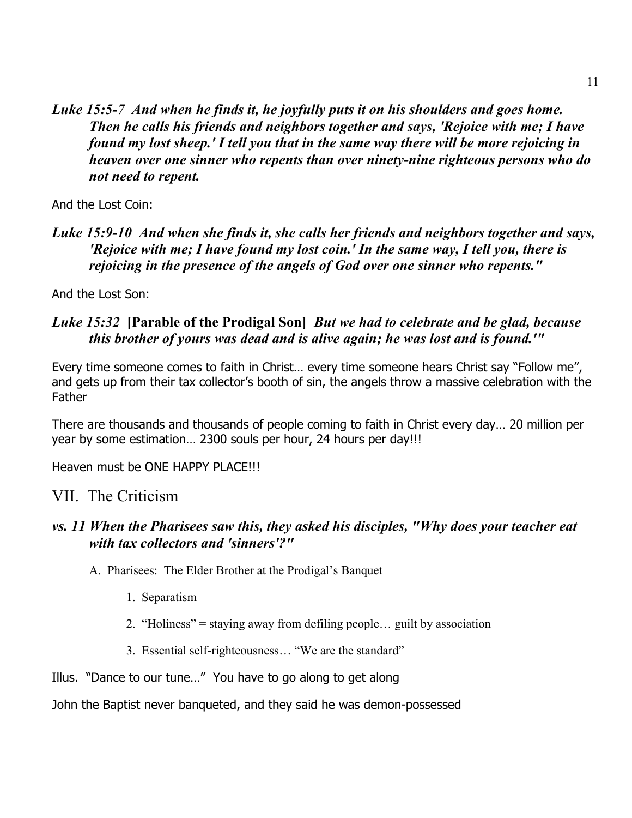*Luke 15:5-7 And when he finds it, he joyfully puts it on his shoulders and goes home. Then he calls his friends and neighbors together and says, 'Rejoice with me; I have found my lost sheep.' I tell you that in the same way there will be more rejoicing in heaven over one sinner who repents than over ninety-nine righteous persons who do not need to repent.*

And the Lost Coin:

*Luke 15:9-10 And when she finds it, she calls her friends and neighbors together and says, 'Rejoice with me; I have found my lost coin.' In the same way, I tell you, there is rejoicing in the presence of the angels of God over one sinner who repents."*

And the Lost Son:

### *Luke 15:32* **[Parable of the Prodigal Son]** *But we had to celebrate and be glad, because this brother of yours was dead and is alive again; he was lost and is found.'"*

Every time someone comes to faith in Christ… every time someone hears Christ say "Follow me", and gets up from their tax collector's booth of sin, the angels throw a massive celebration with the Father

There are thousands and thousands of people coming to faith in Christ every day… 20 million per year by some estimation… 2300 souls per hour, 24 hours per day!!!

Heaven must be ONF HAPPY PLACE!!!

# VII. The Criticism

### *vs. 11 When the Pharisees saw this, they asked his disciples, "Why does your teacher eat with tax collectors and 'sinners'?"*

- A. Pharisees: The Elder Brother at the Prodigal's Banquet
	- 1. Separatism
	- 2. "Holiness" = staying away from defiling people… guilt by association
	- 3. Essential self-righteousness… "We are the standard"

Illus. "Dance to our tune…" You have to go along to get along

John the Baptist never banqueted, and they said he was demon-possessed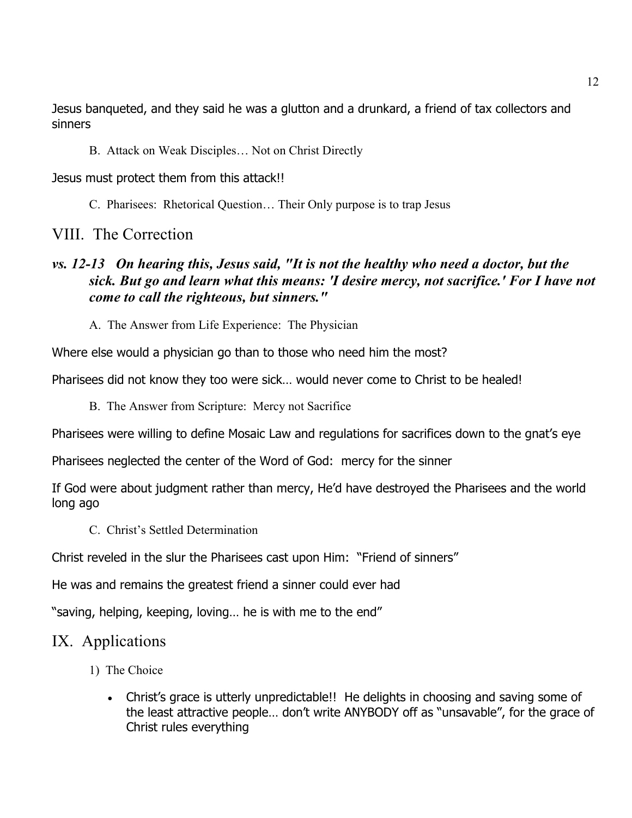Jesus banqueted, and they said he was a glutton and a drunkard, a friend of tax collectors and sinners

B. Attack on Weak Disciples… Not on Christ Directly

Jesus must protect them from this attack!!

C. Pharisees: Rhetorical Question… Their Only purpose is to trap Jesus

# VIII. The Correction

# *vs. 12-13 On hearing this, Jesus said, "It is not the healthy who need a doctor, but the sick. But go and learn what this means: 'I desire mercy, not sacrifice.' For I have not come to call the righteous, but sinners."*

A. The Answer from Life Experience: The Physician

Where else would a physician go than to those who need him the most?

Pharisees did not know they too were sick… would never come to Christ to be healed!

B. The Answer from Scripture: Mercy not Sacrifice

Pharisees were willing to define Mosaic Law and regulations for sacrifices down to the gnat's eye

Pharisees neglected the center of the Word of God: mercy for the sinner

If God were about judgment rather than mercy, He'd have destroyed the Pharisees and the world long ago

C. Christ's Settled Determination

Christ reveled in the slur the Pharisees cast upon Him: "Friend of sinners"

He was and remains the greatest friend a sinner could ever had

"saving, helping, keeping, loving… he is with me to the end"

# IX. Applications

- 1) The Choice
	- Christ's grace is utterly unpredictable!! He delights in choosing and saving some of the least attractive people… don't write ANYBODY off as "unsavable", for the grace of Christ rules everything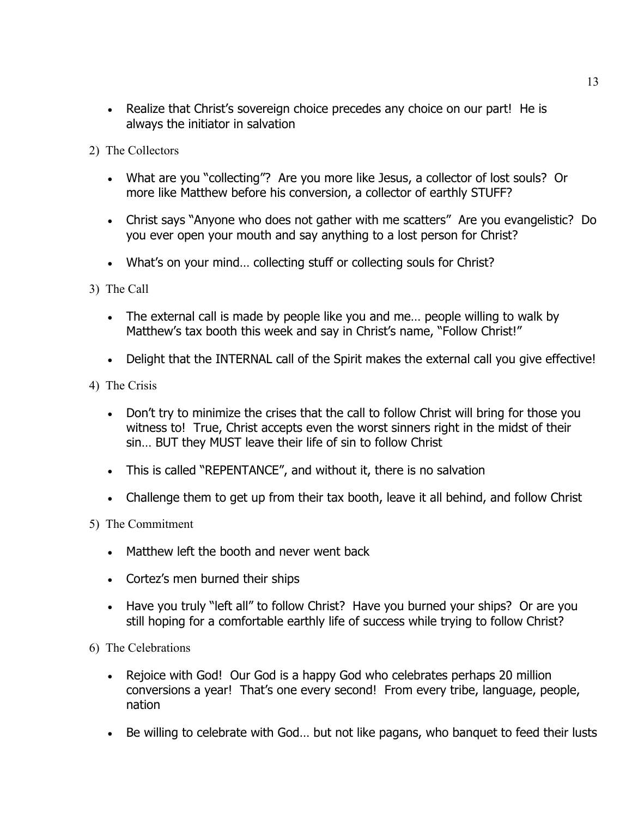- Realize that Christ's sovereign choice precedes any choice on our part! He is always the initiator in salvation
- 2) The Collectors
	- What are you "collecting"? Are you more like Jesus, a collector of lost souls? Or more like Matthew before his conversion, a collector of earthly STUFF?
	- Christ says "Anyone who does not gather with me scatters" Are you evangelistic? Do you ever open your mouth and say anything to a lost person for Christ?
	- What's on your mind... collecting stuff or collecting souls for Christ?
- 3) The Call
	- The external call is made by people like you and me... people willing to walk by Matthew's tax booth this week and say in Christ's name, "Follow Christ!"
	- Delight that the INTERNAL call of the Spirit makes the external call you give effective!
- 4) The Crisis
	- Don't try to minimize the crises that the call to follow Christ will bring for those you witness to! True, Christ accepts even the worst sinners right in the midst of their sin… BUT they MUST leave their life of sin to follow Christ
	- This is called "REPENTANCE", and without it, there is no salvation
	- Challenge them to get up from their tax booth, leave it all behind, and follow Christ
- 5) The Commitment
	- Matthew left the booth and never went back
	- Cortez's men burned their ships
	- Have you truly "left all" to follow Christ? Have you burned your ships? Or are you still hoping for a comfortable earthly life of success while trying to follow Christ?
- 6) The Celebrations
	- Rejoice with God! Our God is a happy God who celebrates perhaps 20 million conversions a year! That's one every second! From every tribe, language, people, nation
	- Be willing to celebrate with God... but not like pagans, who banquet to feed their lusts